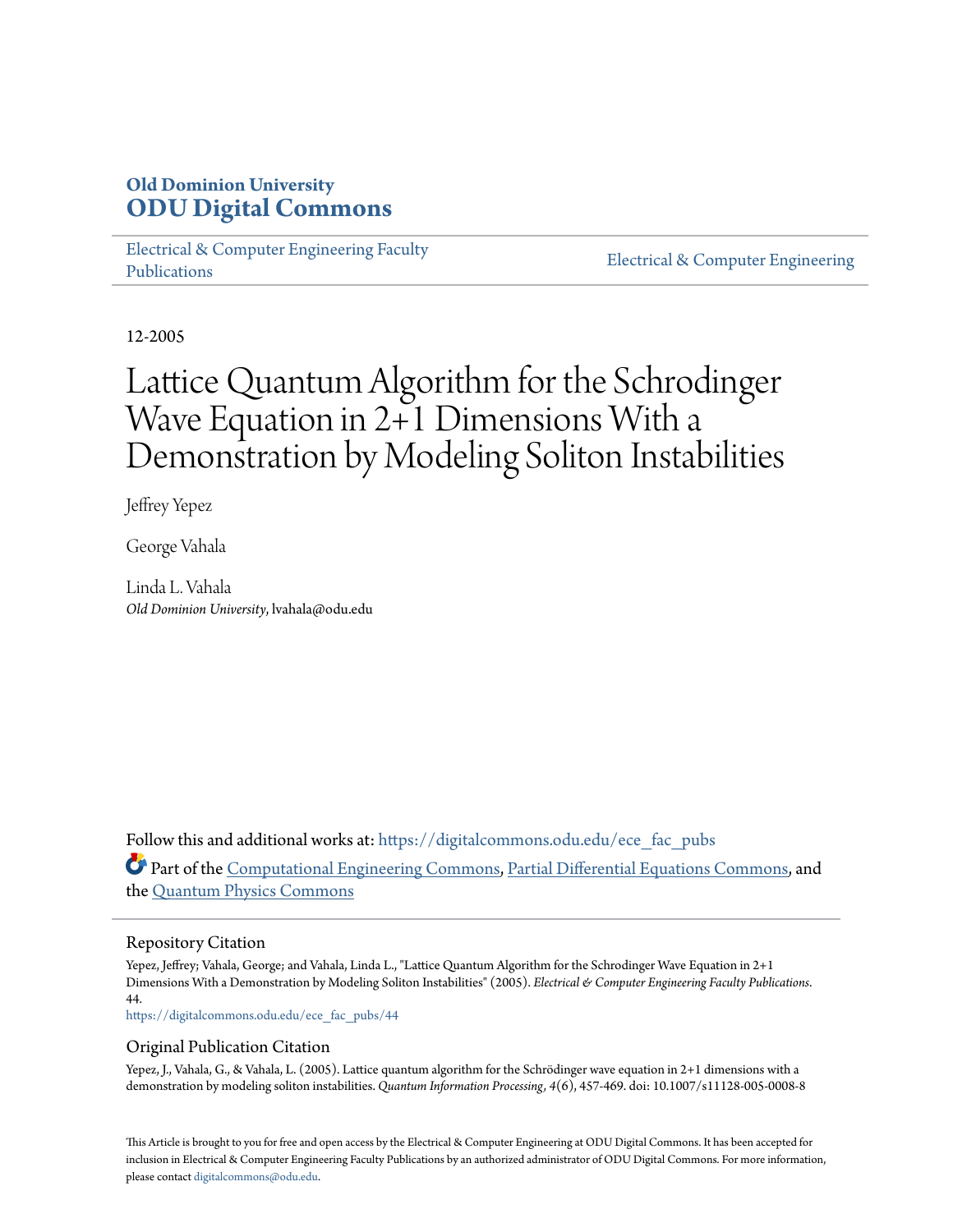# **Old Dominion University [ODU Digital Commons](https://digitalcommons.odu.edu?utm_source=digitalcommons.odu.edu%2Fece_fac_pubs%2F44&utm_medium=PDF&utm_campaign=PDFCoverPages)**

[Electrical & Computer Engineering Faculty](https://digitalcommons.odu.edu/ece_fac_pubs?utm_source=digitalcommons.odu.edu%2Fece_fac_pubs%2F44&utm_medium=PDF&utm_campaign=PDFCoverPages) [Publications](https://digitalcommons.odu.edu/ece_fac_pubs?utm_source=digitalcommons.odu.edu%2Fece_fac_pubs%2F44&utm_medium=PDF&utm_campaign=PDFCoverPages)

[Electrical & Computer Engineering](https://digitalcommons.odu.edu/ece?utm_source=digitalcommons.odu.edu%2Fece_fac_pubs%2F44&utm_medium=PDF&utm_campaign=PDFCoverPages)

12-2005

# Lattice Quantum Algorithm for the Schrodinger Wave Equation in 2+1 Dimensions With a Demonstration by Modeling Soliton Instabilities

Jeffrey Yepez

George Vahala

Linda L. Vahala *Old Dominion University*, lvahala@odu.edu

Follow this and additional works at: [https://digitalcommons.odu.edu/ece\\_fac\\_pubs](https://digitalcommons.odu.edu/ece_fac_pubs?utm_source=digitalcommons.odu.edu%2Fece_fac_pubs%2F44&utm_medium=PDF&utm_campaign=PDFCoverPages) Part of the [Computational Engineering Commons](http://network.bepress.com/hgg/discipline/311?utm_source=digitalcommons.odu.edu%2Fece_fac_pubs%2F44&utm_medium=PDF&utm_campaign=PDFCoverPages), [Partial Differential Equations Commons,](http://network.bepress.com/hgg/discipline/120?utm_source=digitalcommons.odu.edu%2Fece_fac_pubs%2F44&utm_medium=PDF&utm_campaign=PDFCoverPages) and the [Quantum Physics Commons](http://network.bepress.com/hgg/discipline/206?utm_source=digitalcommons.odu.edu%2Fece_fac_pubs%2F44&utm_medium=PDF&utm_campaign=PDFCoverPages)

# Repository Citation

Yepez, Jeffrey; Vahala, George; and Vahala, Linda L., "Lattice Quantum Algorithm for the Schrodinger Wave Equation in 2+1 Dimensions With a Demonstration by Modeling Soliton Instabilities" (2005). *Electrical & Computer Engineering Faculty Publications*. 44.

[https://digitalcommons.odu.edu/ece\\_fac\\_pubs/44](https://digitalcommons.odu.edu/ece_fac_pubs/44?utm_source=digitalcommons.odu.edu%2Fece_fac_pubs%2F44&utm_medium=PDF&utm_campaign=PDFCoverPages)

## Original Publication Citation

Yepez, J., Vahala, G., & Vahala, L. (2005). Lattice quantum algorithm for the Schrödinger wave equation in 2+1 dimensions with a demonstration by modeling soliton instabilities. *Quantum Information Processing, 4*(6), 457-469. doi: 10.1007/s11128-005-0008-8

This Article is brought to you for free and open access by the Electrical & Computer Engineering at ODU Digital Commons. It has been accepted for inclusion in Electrical & Computer Engineering Faculty Publications by an authorized administrator of ODU Digital Commons. For more information, please contact [digitalcommons@odu.edu](mailto:digitalcommons@odu.edu).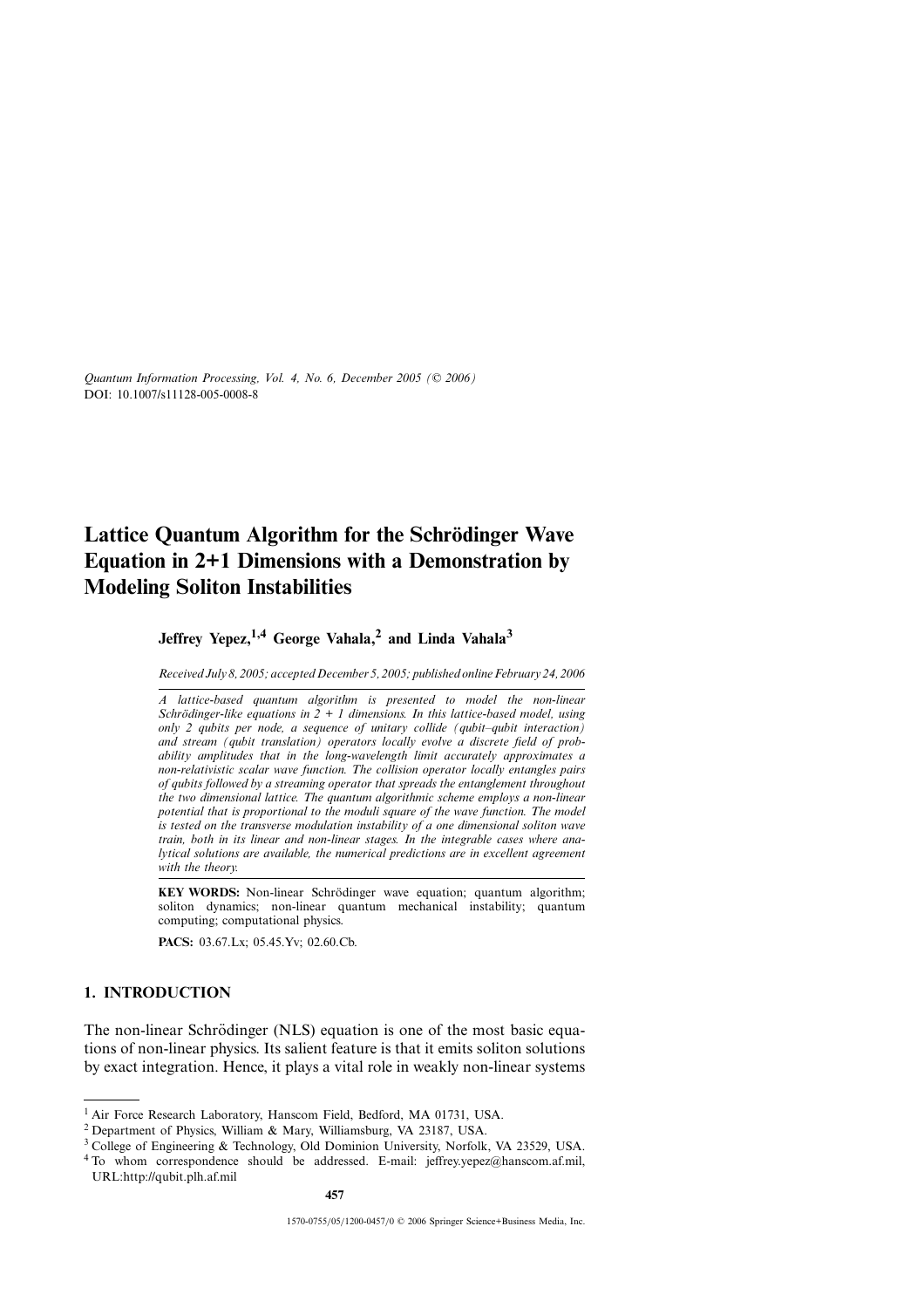# **Lattice Ouantum Algorithm for the Schrödinger Wave Equation in 2+1 Dimensions with a Demonstration by Modeling Soliton Instabilities**

# **Jeffrey Yepez,1,4 George Vahala,<sup>2</sup> and Linda Vahala<sup>3</sup>**

*Received July 8, 2005; accepted December 5, 2005; published online February 24, 2006*

*A lattice-based quantum algorithm is presented to model the non-linear Schrödinger-like equations in*  $2 + 1$  *dimensions. In this lattice-based model, using only 2 qubits per node, a sequence of unitary collide (qubit–qubit interaction) and stream (qubit translation) operators locally evolve a discrete field of probability amplitudes that in the long-wavelength limit accurately approximates a non-relativistic scalar wave function. The collision operator locally entangles pairs of qubits followed by a streaming operator that spreads the entanglement throughout the two dimensional lattice. The quantum algorithmic scheme employs a non-linear potential that is proportional to the moduli square of the wave function. The model is tested on the transverse modulation instability of a one dimensional soliton wave train, both in its linear and non-linear stages. In the integrable cases where analytical solutions are available, the numerical predictions are in excellent agreement with the theory.*

**KEY WORDS:** Non-linear Schrödinger wave equation; quantum algorithm; soliton dynamics; non-linear quantum mechanical instability; quantum computing; computational physics.

**PACS:** 03.67.Lx; 05.45.Yv; 02.60.Cb.

### **1. INTRODUCTION**

The non-linear Schrödinger (NLS) equation is one of the most basic equations of non-linear physics. Its salient feature is that it emits soliton solutions by exact integration. Hence, it plays a vital role in weakly non-linear systems

**457**

<sup>&</sup>lt;sup>1</sup> Air Force Research Laboratory, Hanscom Field, Bedford, MA 01731, USA.

<sup>2</sup> Department of Physics, William & Mary, Williamsburg, VA 23187, USA.

<sup>3</sup> College of Engineering & Technology, Old Dominion University, Norfolk, VA 23529, USA.

 $4$  To whom correspondence should be addressed. E-mail: jeffrey.yepez@hanscom.af.mil, URL:http://qubit.plh.af.mil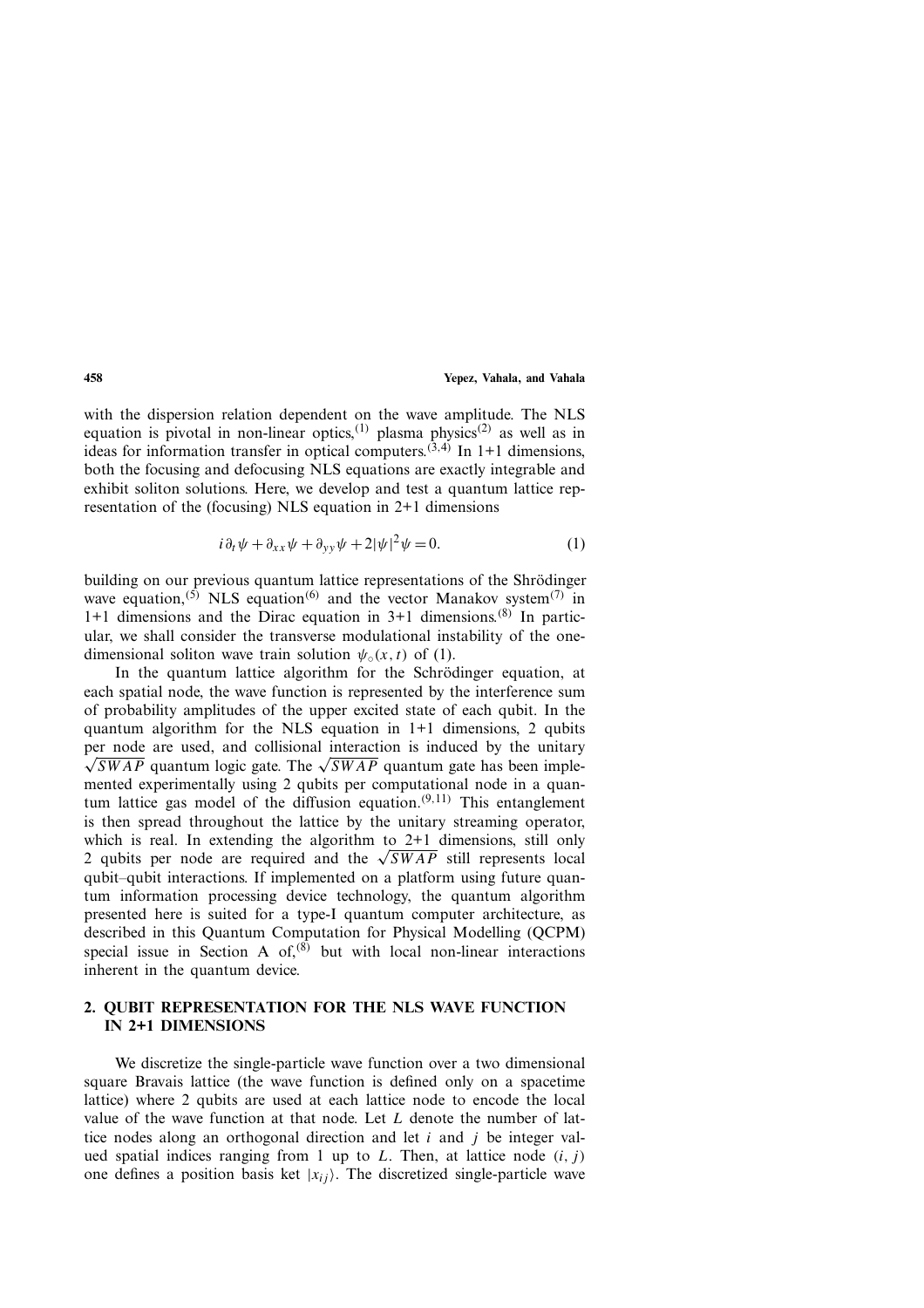with the dispersion relation dependent on the wave amplitude. The NLS equation is pivotal in non-linear optics,<sup>(1)</sup> plasma physics<sup>(2)</sup> as well as in ideas for information transfer in optical computers.<sup> $(3,4)$ </sup> In 1+1 dimensions, both the focusing and defocusing NLS equations are exactly integrable and exhibit soliton solutions. Here, we develop and test a quantum lattice representation of the (focusing) NLS equation in 2+1 dimensions

$$
i\partial_t \psi + \partial_{xx}\psi + \partial_{yy}\psi + 2|\psi|^2 \psi = 0.
$$
 (1)

building on our previous quantum lattice representations of the Shrödinger wave equation,<sup>(5)</sup> NLS equation<sup>(6)</sup> and the vector Manakov system<sup>(7)</sup> in 1+1 dimensions and the Dirac equation in  $3+1$  dimensions.<sup>(8)</sup> In particular, we shall consider the transverse modulational instability of the onedimensional soliton wave train solution  $\psi_0(x, t)$  of (1).

In the quantum lattice algorithm for the Schrödinger equation, at each spatial node, the wave function is represented by the interference sum of probability amplitudes of the upper excited state of each qubit. In the quantum algorithm for the NLS equation in 1+1 dimensions, 2 qubits per node are used, and collisional interaction is induced by the unitary  $\sqrt{SWAP}$  quantum logic gate. The  $\sqrt{SWAP}$  quantum gate has been implemented experimentally using 2 qubits per computational node in a quantum lattice gas model of the diffusion equation.<sup> $(9,11)$ </sup> This entanglement is then spread throughout the lattice by the unitary streaming operator, which is real. In extending the algorithm to 2+1 dimensions, still only 2 qubits per node are required and the  $\sqrt{SWAP}$  still represents local qubit–qubit interactions. If implemented on a platform using future quantum information processing device technology, the quantum algorithm presented here is suited for a type-I quantum computer architecture, as described in this Quantum Computation for Physical Modelling (QCPM) special issue in Section A of, $(8)$  but with local non-linear interactions inherent in the quantum device.

# **2. QUBIT REPRESENTATION FOR THE NLS WAVE FUNCTION IN 2+1 DIMENSIONS**

We discretize the single-particle wave function over a two dimensional square Bravais lattice (the wave function is defined only on a spacetime lattice) where 2 qubits are used at each lattice node to encode the local value of the wave function at that node. Let L denote the number of lattice nodes along an orthogonal direction and let  $i$  and  $j$  be integer valued spatial indices ranging from 1 up to L. Then, at lattice node  $(i, j)$ one defines a position basis ket  $|x_{ij}\rangle$ . The discretized single-particle wave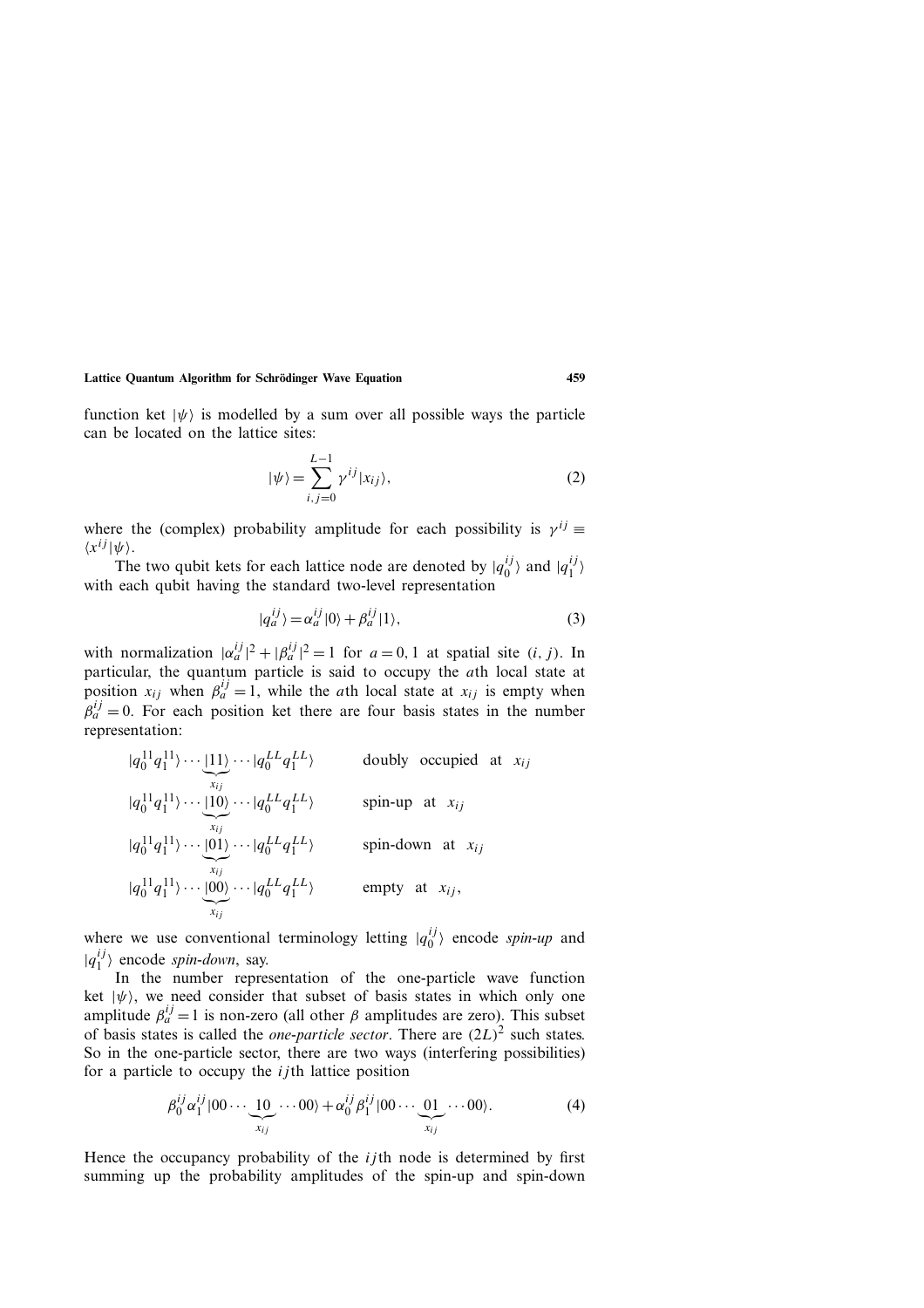function ket  $|\psi\rangle$  is modelled by a sum over all possible ways the particle can be located on the lattice sites:

$$
|\psi\rangle = \sum_{i,j=0}^{L-1} \gamma^{ij} |x_{ij}\rangle,
$$
 (2)

where the (complex) probability amplitude for each possibility is  $\gamma^{ij}$  ≡  $\langle x^{ij} | \psi \rangle$ .

The two qubit kets for each lattice node are denoted by  $|q_0^{ij}\rangle$  and  $|q_1^{ij}\rangle$ with each qubit having the standard two-level representation

$$
|q_a^{ij}\rangle = \alpha_a^{ij} |0\rangle + \beta_a^{ij} |1\rangle,
$$
 (3)

with normalization  $|\alpha_a^{ij}|^2 + |\beta_a^{ij}|^2 = 1$  for  $a = 0, 1$  at spatial site  $(i, j)$ . In particular, the quantum particle is said to occupy the *ath* local state at position  $x_{ij}$  when  $\beta_a^{ij} = 1$ , while the *ath* local state at  $x_{ij}$  is empty when  $\beta_a^{ij} = 0$ . For each position ket there are four basis states in the number representation:

$$
|q_0^{11}q_1^{11}\rangle \cdots \underbrace{|11\rangle}_{x_{ij}} \cdots |q_0^{LL}q_1^{LL}\rangle
$$
 doubly occupied at  $x_{ij}$   
\n
$$
|q_0^{11}q_1^{11}\rangle \cdots \underbrace{|10\rangle}_{x_{ij}} \cdots |q_0^{LL}q_1^{LL}\rangle
$$
 spin-up at  $x_{ij}$   
\n
$$
|q_0^{11}q_1^{11}\rangle \cdots \underbrace{|01\rangle}_{x_{ij}} \cdots |q_0^{LL}q_1^{LL}\rangle
$$
 spin-down at  $x_{ij}$   
\n
$$
|q_0^{11}q_1^{11}\rangle \cdots \underbrace{|00\rangle}_{x_{ij}} \cdots |q_0^{LL}q_1^{LL}\rangle
$$
 empty at  $x_{ij}$ ,

where we use conventional terminology letting  $|q_0^{ij}\rangle$  encode *spin-up* and  $|q_1^{ij}\rangle$  encode *spin-down*, say.

In the number representation of the one-particle wave function ket  $|\psi\rangle$ , we need consider that subset of basis states in which only one amplitude  $\beta_a^{ij} = 1$  is non-zero (all other  $\beta$  amplitudes are zero). This subset of basis states is called the *one-particle sector*. There are  $(2L)^2$  such states. So in the one-particle sector, there are two ways (interfering possibilities) for a particle to occupy the  $i$  *j*th lattice position

$$
\beta_0^{ij}\alpha_1^{ij}|00\cdots\underbrace{10}_{x_{ij}}\cdots00\rangle+\alpha_0^{ij}\beta_1^{ij}|00\cdots\underbrace{01}_{x_{ij}}\cdots00\rangle.
$$
 (4)

Hence the occupancy probability of the  $i$  *j*th node is determined by first summing up the probability amplitudes of the spin-up and spin-down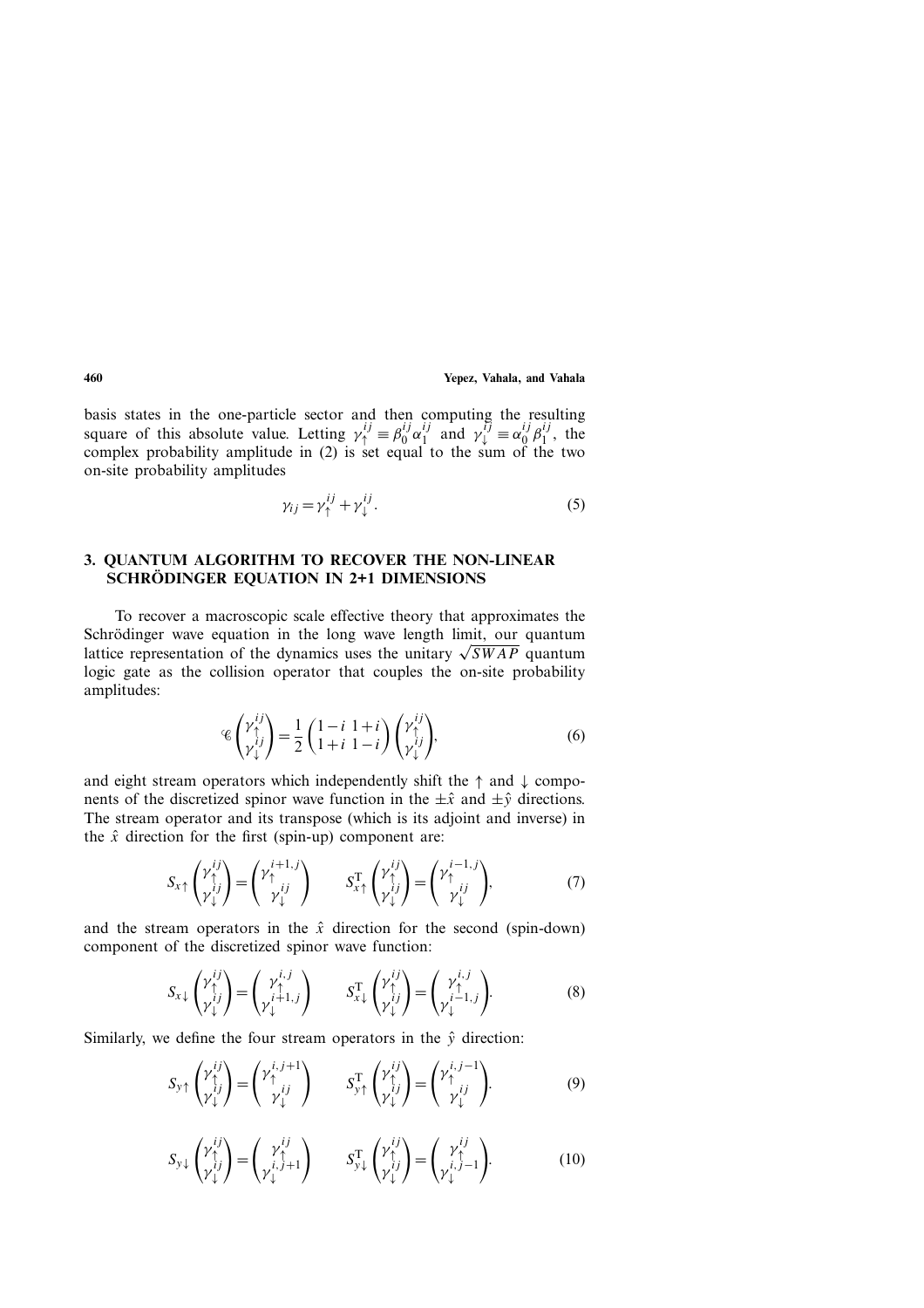basis states in the one-particle sector and then computing the resulting square of this absolute value. Letting  $\gamma_{\uparrow}^{ij} = \beta_0^{ij} \alpha_1^{ij}$  and  $\gamma_{\downarrow}^{ij} = \alpha_0^{ij} \beta_1^{ij}$ , the complex probability amplitude in (2) is set equal to the sum of the two on-site probability amplitudes

$$
\gamma_{ij} = \gamma_{\uparrow}^{ij} + \gamma_{\downarrow}^{ij}.
$$
 (5)

# **3. QUANTUM ALGORITHM TO RECOVER THE NON-LINEAR SCHRÖDINGER EQUATION IN 2+1 DIMENSIONS**

To recover a macroscopic scale effective theory that approximates the Schrödinger wave equation in the long wave length limit, our quantum lattice representation of the dynamics uses the unitary  $\sqrt{SWAP}$  quantum logic gate as the collision operator that couples the on-site probability amplitudes:

$$
\mathcal{L}\begin{pmatrix} \gamma_1^{ij} \\ \gamma_2^{ij} \end{pmatrix} = \frac{1}{2} \begin{pmatrix} 1-i & 1+i \\ 1+i & 1-i \end{pmatrix} \begin{pmatrix} \gamma_1^{ij} \\ \gamma_2^{ij} \end{pmatrix},\tag{6}
$$

and eight stream operators which independently shift the  $\uparrow$  and  $\downarrow$  components of the discretized spinor wave function in the  $\pm \hat{x}$  and  $\pm \hat{y}$  directions. The stream operator and its transpose (which is its adjoint and inverse) in the  $\hat{x}$  direction for the first (spin-up) component are:

$$
S_{x\uparrow} \begin{pmatrix} \gamma_{\uparrow}^{ij} \\ \gamma_{\downarrow}^{ij} \end{pmatrix} = \begin{pmatrix} \gamma_{\uparrow}^{i+1,j} \\ \gamma_{\downarrow}^{ij} \end{pmatrix} \qquad S_{x\uparrow}^{\mathrm{T}} \begin{pmatrix} \gamma_{\uparrow}^{ij} \\ \gamma_{\downarrow}^{ij} \end{pmatrix} = \begin{pmatrix} \gamma_{\uparrow}^{i-1,j} \\ \gamma_{\downarrow}^{ij} \end{pmatrix}, \tag{7}
$$

and the stream operators in the  $\hat{x}$  direction for the second (spin-down) component of the discretized spinor wave function:

$$
S_{x\downarrow} \begin{pmatrix} \gamma_{\uparrow}^{ij} \\ \gamma_{\downarrow}^{ij} \end{pmatrix} = \begin{pmatrix} \gamma_{\uparrow}^{i,j} \\ \gamma_{\downarrow}^{i+1,j} \end{pmatrix} \qquad S_{x\downarrow}^{\mathrm{T}} \begin{pmatrix} \gamma_{\uparrow}^{ij} \\ \gamma_{\downarrow}^{ij} \end{pmatrix} = \begin{pmatrix} \gamma_{\uparrow}^{i,j} \\ \gamma_{\downarrow}^{i-1,j} \end{pmatrix} . \tag{8}
$$

Similarly, we define the four stream operators in the  $\hat{y}$  direction:

$$
S_{y\uparrow}\begin{pmatrix} \gamma_{\uparrow}^{ij} \\ \gamma_{\downarrow}^{ij} \end{pmatrix} = \begin{pmatrix} \gamma_{\uparrow}^{i,j+1} \\ \gamma_{\downarrow}^{ij} \end{pmatrix} \qquad S_{y\uparrow}^{\mathrm{T}}\begin{pmatrix} \gamma_{\uparrow}^{ij} \\ \gamma_{\downarrow}^{ij} \end{pmatrix} = \begin{pmatrix} \gamma_{\uparrow}^{i,j-1} \\ \gamma_{\downarrow}^{ij} \end{pmatrix} . \tag{9}
$$

$$
S_{y\downarrow} \begin{pmatrix} \gamma_{\uparrow}^{ij} \\ \gamma_{\downarrow}^{ij} \end{pmatrix} = \begin{pmatrix} \gamma_{\uparrow}^{ij} \\ \gamma_{\downarrow}^{i,j+1} \end{pmatrix} \qquad S_{y\downarrow}^{\mathrm{T}} \begin{pmatrix} \gamma_{\uparrow}^{ij} \\ \gamma_{\downarrow}^{ij} \end{pmatrix} = \begin{pmatrix} \gamma_{\uparrow}^{ij} \\ \gamma_{\downarrow}^{i,j-1} \end{pmatrix} . \tag{10}
$$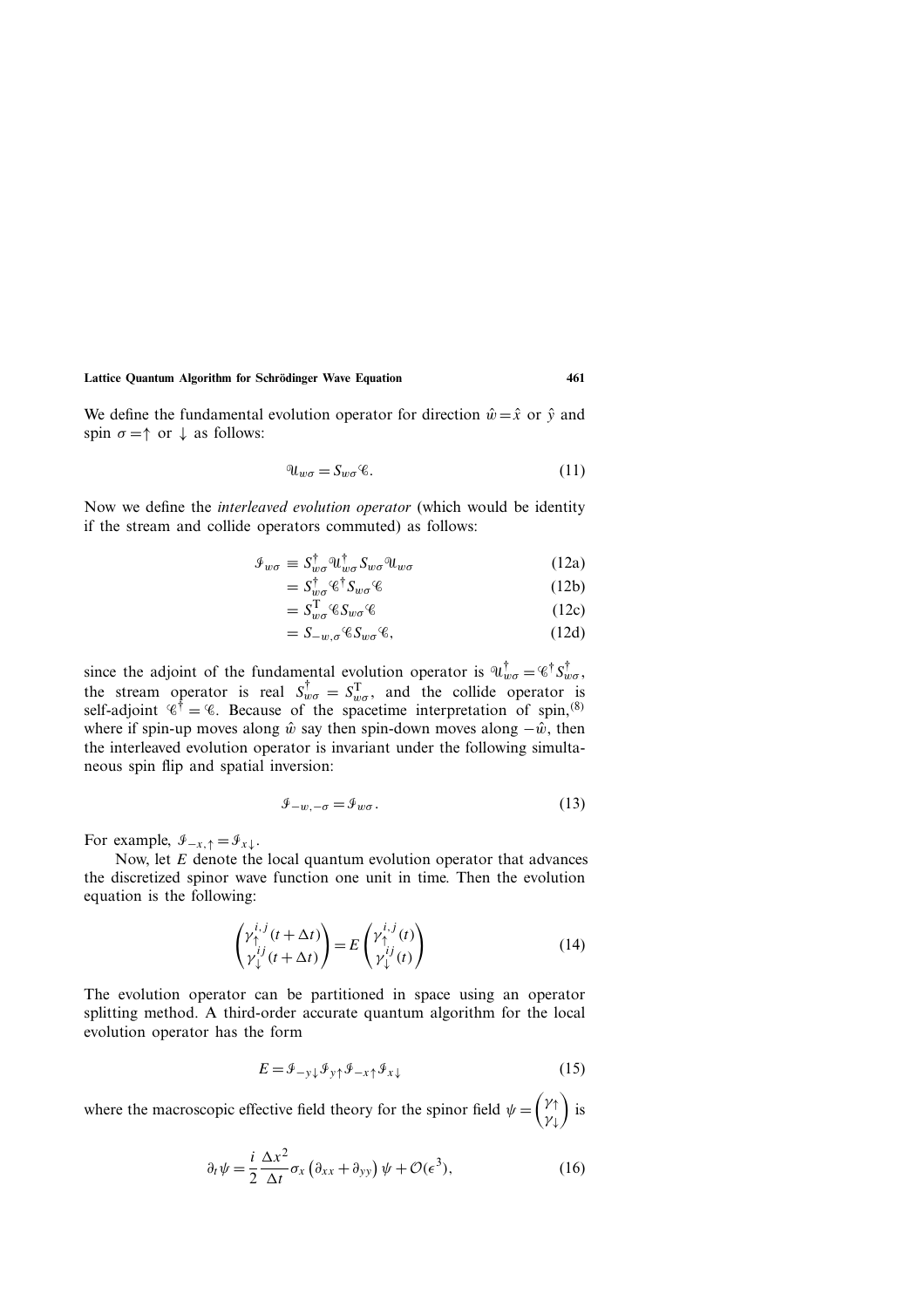**Lattice Quantum Algorithm for Schrodinger Wave Equation 461 ¨**

We define the fundamental evolution operator for direction  $\hat{w} = \hat{x}$  or  $\hat{y}$  and spin  $\sigma = \uparrow$  or  $\downarrow$  as follows:

$$
\mathcal{U}_{w\sigma} = S_{w\sigma} \mathcal{C}.\tag{11}
$$

Now we define the *interleaved evolution operator* (which would be identity if the stream and collide operators commuted) as follows:

$$
\mathcal{I}_{w\sigma} \equiv S_{w\sigma}^{\dagger} \mathcal{U}_{w\sigma}^{\dagger} S_{w\sigma} \mathcal{U}_{w\sigma} \tag{12a}
$$

$$
=S_{w\sigma}^{\dagger}\mathcal{C}^{\dagger}S_{w\sigma}\mathcal{C}
$$
 (12b)

$$
=S_{w\sigma}^{\mathrm{T}}\mathcal{C}S_{w\sigma}\mathcal{C}\tag{12c}
$$

$$
= S_{-w,\sigma} \mathscr{C} S_{w\sigma} \mathscr{C},\tag{12d}
$$

since the adjoint of the fundamental evolution operator is  $\mathbb{Q}_{w\sigma}^{\dagger} = \mathscr{C}^{\dagger} S_{w\sigma}^{\dagger}$ , the stream operator is real  $S_{w\sigma}^{\dagger} = S_{w\sigma}^{\mathrm{T}}$ , and the collide operator is self-adjoint  $\mathscr{C}^{\dagger} = \mathscr{C}$ . Because of the spacetime interpretation of spin,  $\mathscr{C}$ ) where if spin-up moves along  $\hat{w}$  say then spin-down moves along  $-\hat{w}$ , then the interleaved evolution operator is invariant under the following simultaneous spin flip and spatial inversion:

$$
\mathcal{F}_{-w,-\sigma} = \mathcal{F}_{w\sigma}.
$$
\n(13)

For example,  $\mathcal{I}_{-x,\uparrow} = \mathcal{I}_{x\downarrow}$ .

Now, let E denote the local quantum evolution operator that advances the discretized spinor wave function one unit in time. Then the evolution equation is the following:

$$
\begin{pmatrix} \gamma_{\uparrow}^{i,j}(t + \Delta t) \\ \gamma_{\downarrow}^{ij}(t + \Delta t) \end{pmatrix} = E \begin{pmatrix} \gamma_{\uparrow}^{i,j}(t) \\ \gamma_{\downarrow}^{ij}(t) \end{pmatrix}
$$
 (14)

The evolution operator can be partitioned in space using an operator splitting method. A third-order accurate quantum algorithm for the local evolution operator has the form

$$
E = \mathcal{F}_{-y\downarrow} \mathcal{F}_{y\uparrow} \mathcal{F}_{-x\uparrow} \mathcal{F}_{x\downarrow} \tag{15}
$$

where the macroscopic effective field theory for the spinor field  $\psi = \begin{pmatrix} \gamma_1 \\ \gamma_2 \end{pmatrix}$  $\gamma_{\downarrow}$  $\big)$  is

$$
\partial_t \psi = \frac{i}{2} \frac{\Delta x^2}{\Delta t} \sigma_x \left( \partial_{xx} + \partial_{yy} \right) \psi + \mathcal{O}(\epsilon^3), \tag{16}
$$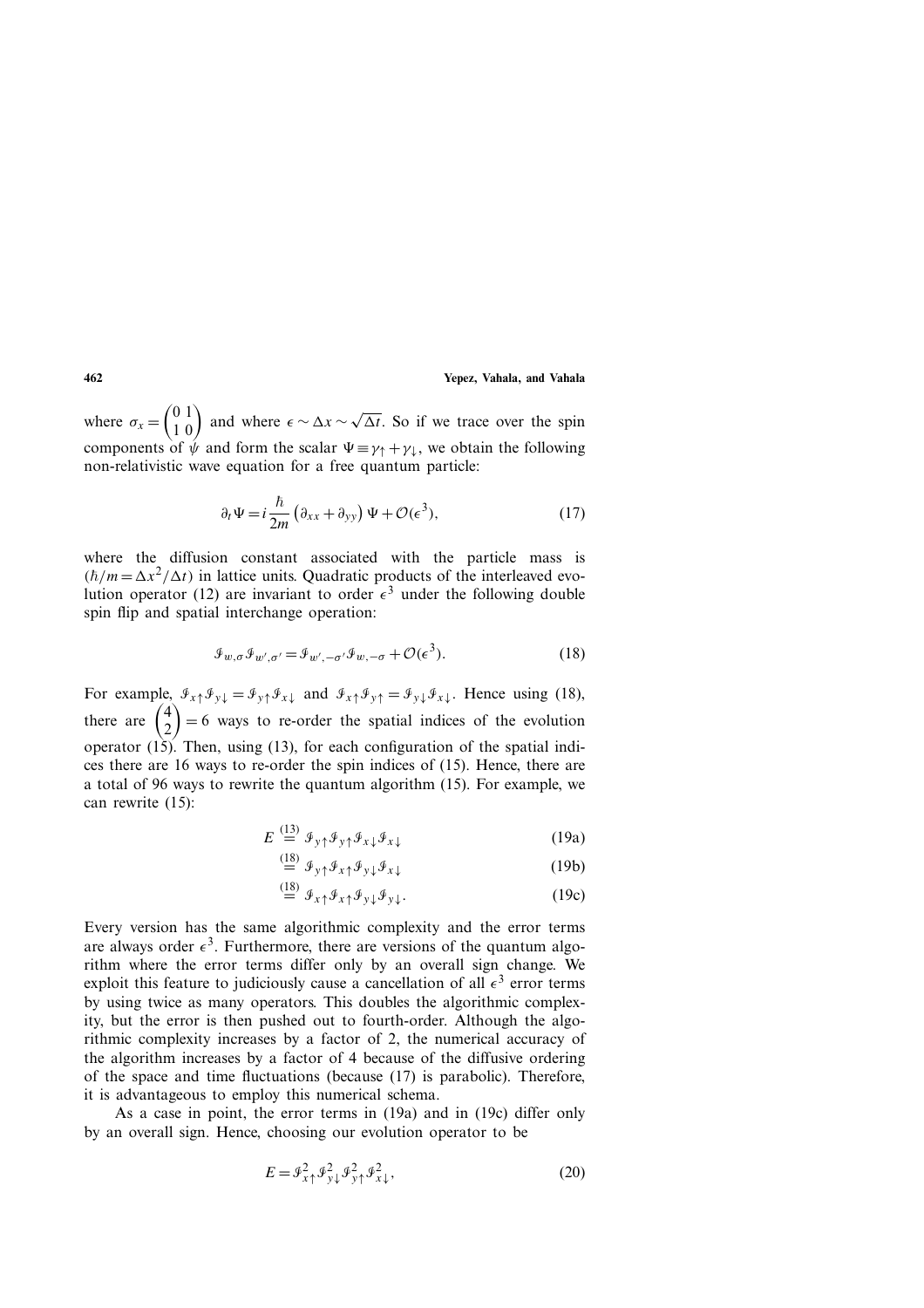where  $\sigma_x = \begin{pmatrix} 0 & 1 \\ 1 & 0 \end{pmatrix}$  and where  $\epsilon \sim \Delta x \sim \sqrt{\Delta t}$ . So if we trace over the spin components of  $\psi$  and form the scalar  $\Psi \equiv \gamma_1 + \gamma_2$ , we obtain the following non-relativistic wave equation for a free quantum particle:

$$
\partial_t \Psi = i \frac{\hbar}{2m} \left( \partial_{xx} + \partial_{yy} \right) \Psi + \mathcal{O}(\epsilon^3), \tag{17}
$$

where the diffusion constant associated with the particle mass is  $(\hbar/m = \Delta x^2/\Delta t)$  in lattice units. Quadratic products of the interleaved evolution operator (12) are invariant to order  $\epsilon^3$  under the following double spin flip and spatial interchange operation:

$$
\mathcal{J}_{w,\sigma} \mathcal{J}_{w',\sigma'} = \mathcal{J}_{w',-\sigma'} \mathcal{J}_{w,-\sigma} + \mathcal{O}(\epsilon^3). \tag{18}
$$

For example,  $\mathcal{F}_{x\uparrow}\mathcal{F}_{y\downarrow} = \mathcal{F}_{y\uparrow}\mathcal{F}_{x\downarrow}$  and  $\mathcal{F}_{x\uparrow}\mathcal{F}_{y\uparrow} = \mathcal{F}_{y\downarrow}\mathcal{F}_{x\downarrow}$ . Hence using (18), there are  $\begin{pmatrix} 4 \\ 2 \end{pmatrix}$ 2  $= 6$  ways to re-order the spatial indices of the evolution operator  $(15)$ . Then, using  $(13)$ , for each configuration of the spatial indices there are 16 ways to re-order the spin indices of (15). Hence, there are a total of 96 ways to rewrite the quantum algorithm (15). For example, we can rewrite (15):

$$
E \stackrel{(13)}{=} \mathcal{F}_{y\uparrow} \mathcal{F}_{y\uparrow} \mathcal{F}_{x\downarrow} \mathcal{F}_{x\downarrow} \tag{19a}
$$

$$
\stackrel{\text{(18)}}{=} \mathcal{F}_{y\uparrow} \mathcal{F}_{x\uparrow} \mathcal{F}_{y\downarrow} \mathcal{F}_{x\downarrow} \tag{19b}
$$

$$
\stackrel{\text{(18)}}{=} \mathcal{F}_{x\uparrow} \mathcal{F}_{x\uparrow} \mathcal{F}_{y\downarrow} \mathcal{F}_{y\downarrow}.
$$
\n(19c)

Every version has the same algorithmic complexity and the error terms are always order  $\epsilon^3$ . Furthermore, there are versions of the quantum algorithm where the error terms differ only by an overall sign change. We exploit this feature to judiciously cause a cancellation of all  $\epsilon^3$  error terms by using twice as many operators. This doubles the algorithmic complexity, but the error is then pushed out to fourth-order. Although the algorithmic complexity increases by a factor of 2, the numerical accuracy of the algorithm increases by a factor of 4 because of the diffusive ordering of the space and time fluctuations (because (17) is parabolic). Therefore, it is advantageous to employ this numerical schema.

As a case in point, the error terms in (19a) and in (19c) differ only by an overall sign. Hence, choosing our evolution operator to be

$$
E = \mathcal{F}_{x\uparrow}^2 \mathcal{F}_{y\downarrow}^2 \mathcal{F}_{y\uparrow}^2 \mathcal{F}_{x\downarrow}^2,\tag{20}
$$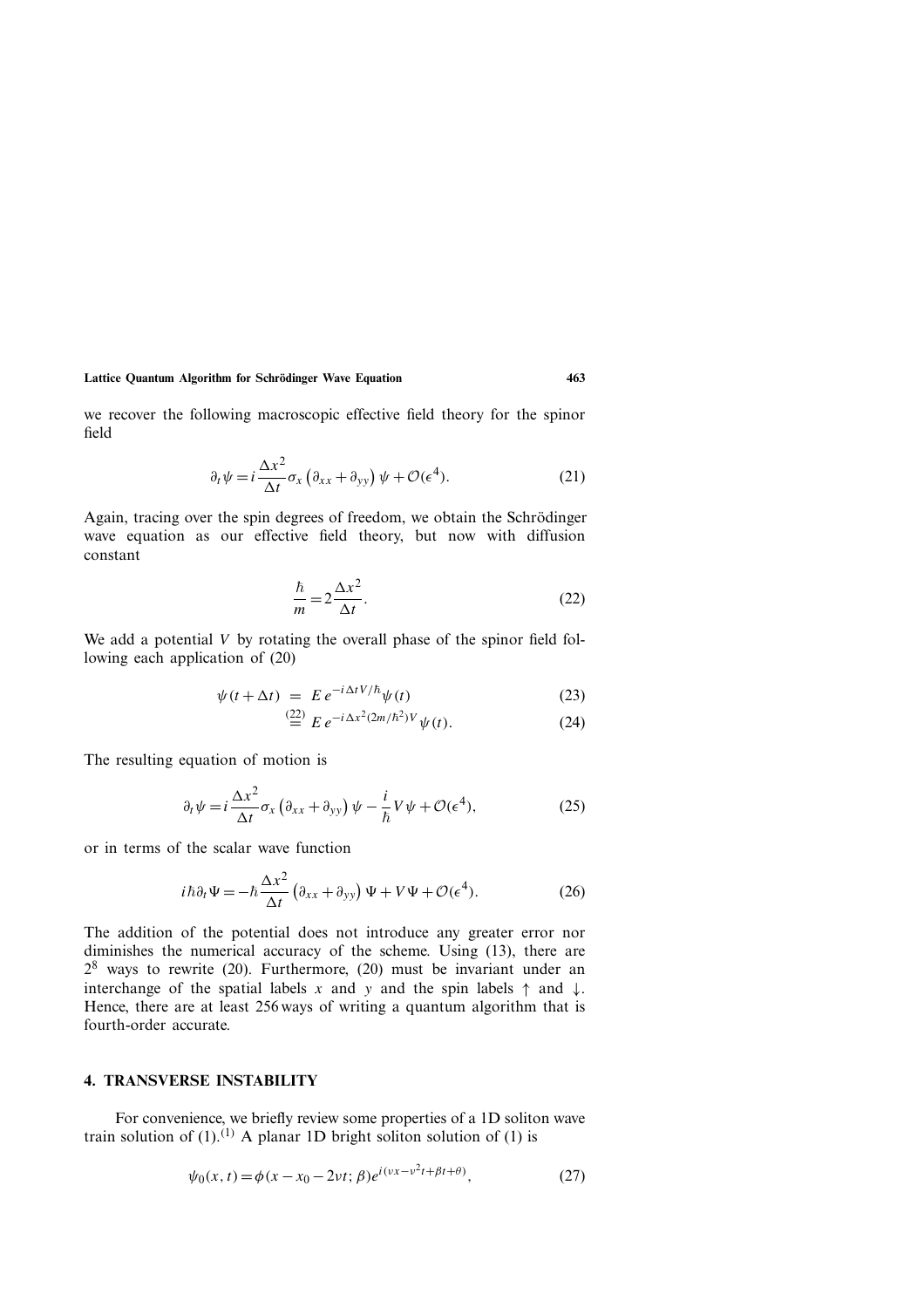#### **Lattice Quantum Algorithm for Schrodinger Wave Equation 463 ¨**

we recover the following macroscopic effective field theory for the spinor field

$$
\partial_t \psi = i \frac{\Delta x^2}{\Delta t} \sigma_x \left( \partial_{xx} + \partial_{yy} \right) \psi + \mathcal{O}(\epsilon^4). \tag{21}
$$

Again, tracing over the spin degrees of freedom, we obtain the Schrödinger wave equation as our effective field theory, but now with diffusion constant

$$
\frac{\hbar}{m} = 2\frac{\Delta x^2}{\Delta t}.
$$
\n(22)

We add a potential  $V$  by rotating the overall phase of the spinor field following each application of (20)

$$
\psi(t + \Delta t) = E e^{-i\Delta t V/\hbar} \psi(t)
$$
\n(23)

$$
\stackrel{(22)}{=} E \, e^{-i\,\Delta x^2 (2m/\hbar^2)V} \psi(t). \tag{24}
$$

The resulting equation of motion is

$$
\partial_t \psi = i \frac{\Delta x^2}{\Delta t} \sigma_x \left( \partial_{xx} + \partial_{yy} \right) \psi - \frac{i}{\hbar} V \psi + \mathcal{O}(\epsilon^4), \tag{25}
$$

or in terms of the scalar wave function

$$
i\hbar\partial_t\Psi = -\hbar\frac{\Delta x^2}{\Delta t}\left(\partial_{xx} + \partial_{yy}\right)\Psi + V\Psi + \mathcal{O}(\epsilon^4). \tag{26}
$$

The addition of the potential does not introduce any greater error nor diminishes the numerical accuracy of the scheme. Using (13), there are  $2^8$  ways to rewrite (20). Furthermore, (20) must be invariant under an interchange of the spatial labels x and y and the spin labels  $\uparrow$  and  $\downarrow$ . Hence, there are at least 256 ways of writing a quantum algorithm that is fourth-order accurate.

#### **4. TRANSVERSE INSTABILITY**

For convenience, we briefly review some properties of a 1D soliton wave train solution of  $(1)$ .<sup>(1)</sup> A planar 1D bright soliton solution of (1) is

$$
\psi_0(x,t) = \phi(x - x_0 - 2\nu t; \beta)e^{i(\nu x - \nu^2 t + \beta t + \theta)},
$$
\n(27)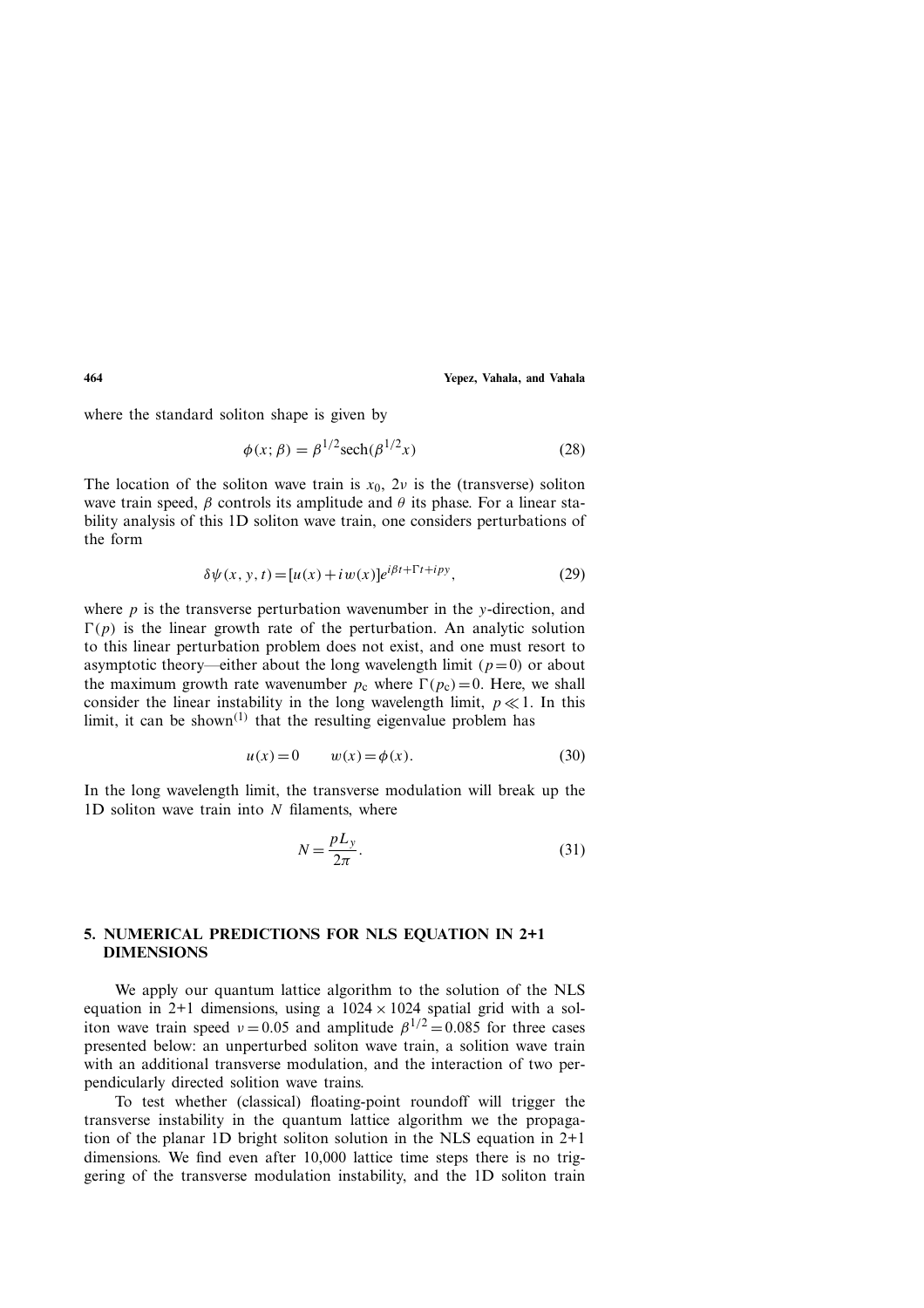where the standard soliton shape is given by

$$
\phi(x; \beta) = \beta^{1/2} \operatorname{sech}(\beta^{1/2} x)
$$
\n(28)

The location of the soliton wave train is  $x_0$ ,  $2\nu$  is the (transverse) soliton wave train speed,  $\beta$  controls its amplitude and  $\theta$  its phase. For a linear stability analysis of this 1D soliton wave train, one considers perturbations of the form

$$
\delta \psi(x, y, t) = [u(x) + iw(x)]e^{i\beta t + 1't + ipy}, \tag{29}
$$

where  $p$  is the transverse perturbation wavenumber in the y-direction, and  $\Gamma(p)$  is the linear growth rate of the perturbation. An analytic solution to this linear perturbation problem does not exist, and one must resort to asymptotic theory—either about the long wavelength limit ( $p=0$ ) or about the maximum growth rate wavenumber  $p_c$  where  $\Gamma(p_c)=0$ . Here, we shall consider the linear instability in the long wavelength limit,  $p \ll 1$ . In this limit, it can be shown<sup> $(1)$ </sup> that the resulting eigenvalue problem has

$$
u(x) = 0 \qquad w(x) = \phi(x). \tag{30}
$$

In the long wavelength limit, the transverse modulation will break up the 1D soliton wave train into  $N$  filaments, where

$$
N = \frac{pL_y}{2\pi}.\tag{31}
$$

# **5. NUMERICAL PREDICTIONS FOR NLS EQUATION IN 2+1 DIMENSIONS**

We apply our quantum lattice algorithm to the solution of the NLS equation in 2+1 dimensions, using a  $1024 \times 1024$  spatial grid with a soliton wave train speed  $v = 0.05$  and amplitude  $\beta^{1/2} = 0.085$  for three cases presented below: an unperturbed soliton wave train, a solition wave train with an additional transverse modulation, and the interaction of two perpendicularly directed solition wave trains.

To test whether (classical) floating-point roundoff will trigger the transverse instability in the quantum lattice algorithm we the propagation of the planar 1D bright soliton solution in the NLS equation in 2+1 dimensions. We find even after 10,000 lattice time steps there is no triggering of the transverse modulation instability, and the 1D soliton train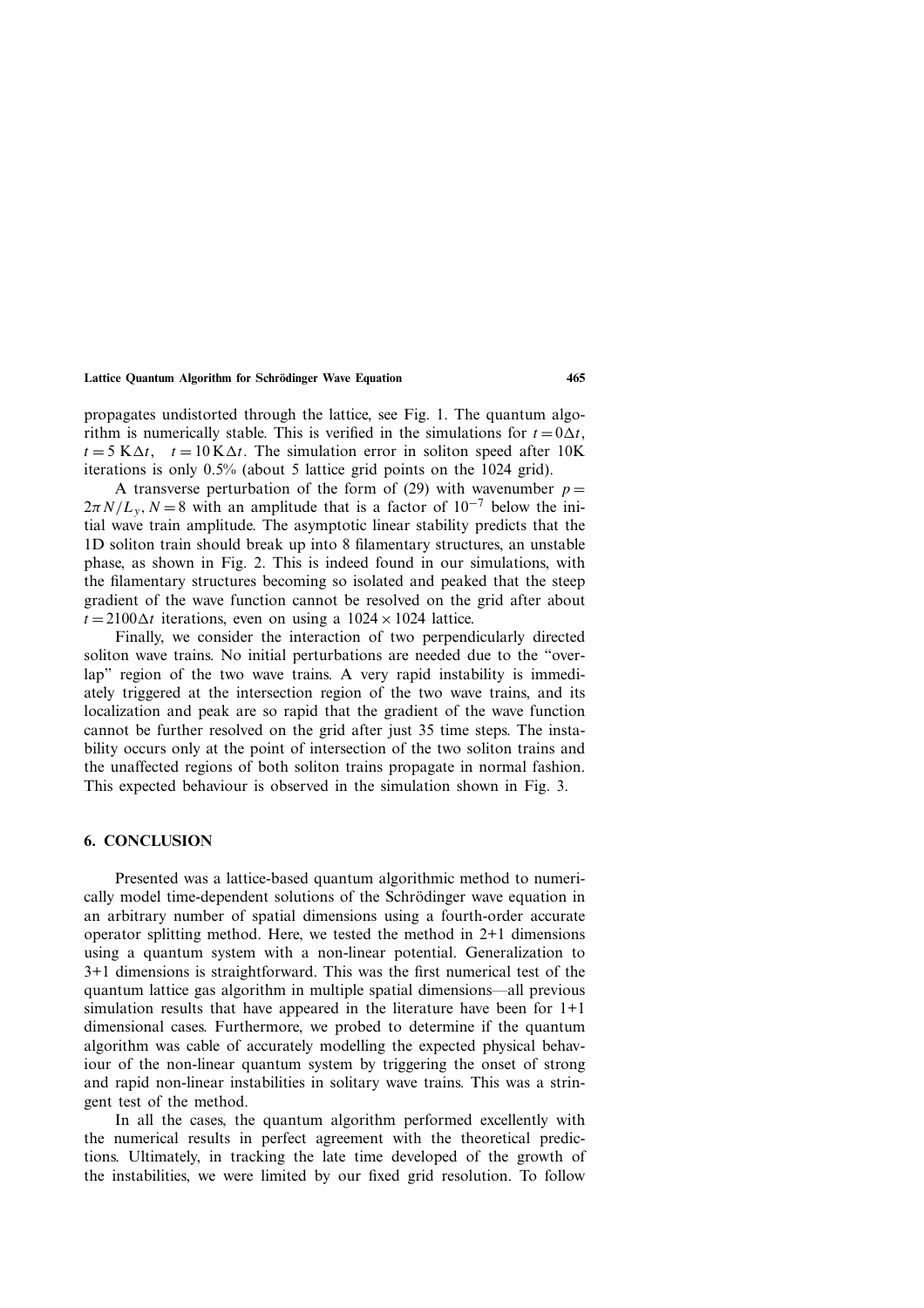propagates undistorted through the lattice, see Fig. 1. The quantum algorithm is numerically stable. This is verified in the simulations for  $t = 0\Delta t$ ,  $t = 5$  K $\Delta t$ ,  $t = 10$  K $\Delta t$ . The simulation error in soliton speed after 10K iterations is only 0.5% (about 5 lattice grid points on the 1024 grid).

A transverse perturbation of the form of (29) with wavenumber  $p =$  $2\pi N/L_v$ ,  $N = 8$  with an amplitude that is a factor of 10<sup>-7</sup> below the initial wave train amplitude. The asymptotic linear stability predicts that the 1D soliton train should break up into 8 filamentary structures, an unstable phase, as shown in Fig. 2. This is indeed found in our simulations, with the filamentary structures becoming so isolated and peaked that the steep gradient of the wave function cannot be resolved on the grid after about  $t = 2100\Delta t$  iterations, even on using a  $1024 \times 1024$  lattice.

Finally, we consider the interaction of two perpendicularly directed soliton wave trains. No initial perturbations are needed due to the "overlap" region of the two wave trains. A very rapid instability is immediately triggered at the intersection region of the two wave trains, and its localization and peak are so rapid that the gradient of the wave function cannot be further resolved on the grid after just 35 time steps. The instability occurs only at the point of intersection of the two soliton trains and the unaffected regions of both soliton trains propagate in normal fashion. This expected behaviour is observed in the simulation shown in Fig. 3.

#### **6. CONCLUSION**

Presented was a lattice-based quantum algorithmic method to numerically model time-dependent solutions of the Schrödinger wave equation in an arbitrary number of spatial dimensions using a fourth-order accurate operator splitting method. Here, we tested the method in 2+1 dimensions using a quantum system with a non-linear potential. Generalization to 3+1 dimensions is straightforward. This was the first numerical test of the quantum lattice gas algorithm in multiple spatial dimensions—all previous simulation results that have appeared in the literature have been for  $1+1$ dimensional cases. Furthermore, we probed to determine if the quantum algorithm was cable of accurately modelling the expected physical behaviour of the non-linear quantum system by triggering the onset of strong and rapid non-linear instabilities in solitary wave trains. This was a stringent test of the method.

In all the cases, the quantum algorithm performed excellently with the numerical results in perfect agreement with the theoretical predictions. Ultimately, in tracking the late time developed of the growth of the instabilities, we were limited by our fixed grid resolution. To follow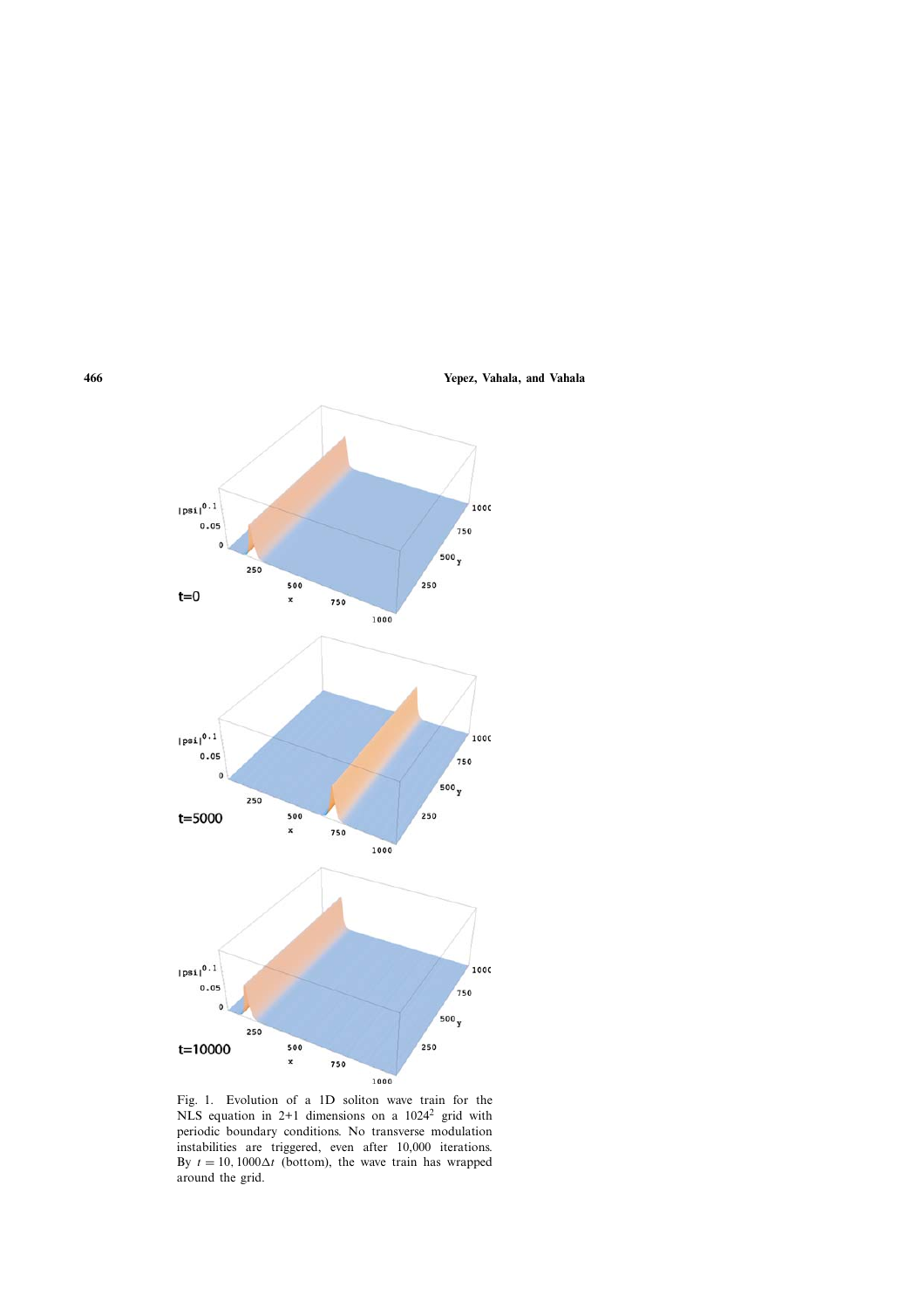

Fig. 1. Evolution of a 1D soliton wave train for the NLS equation in 2+1 dimensions on a  $1024^2$  grid with periodic boundary conditions. No transverse modulation instabilities are triggered, even after 10,000 iterations. By  $t = 10, 1000\Delta t$  (bottom), the wave train has wrapped around the grid.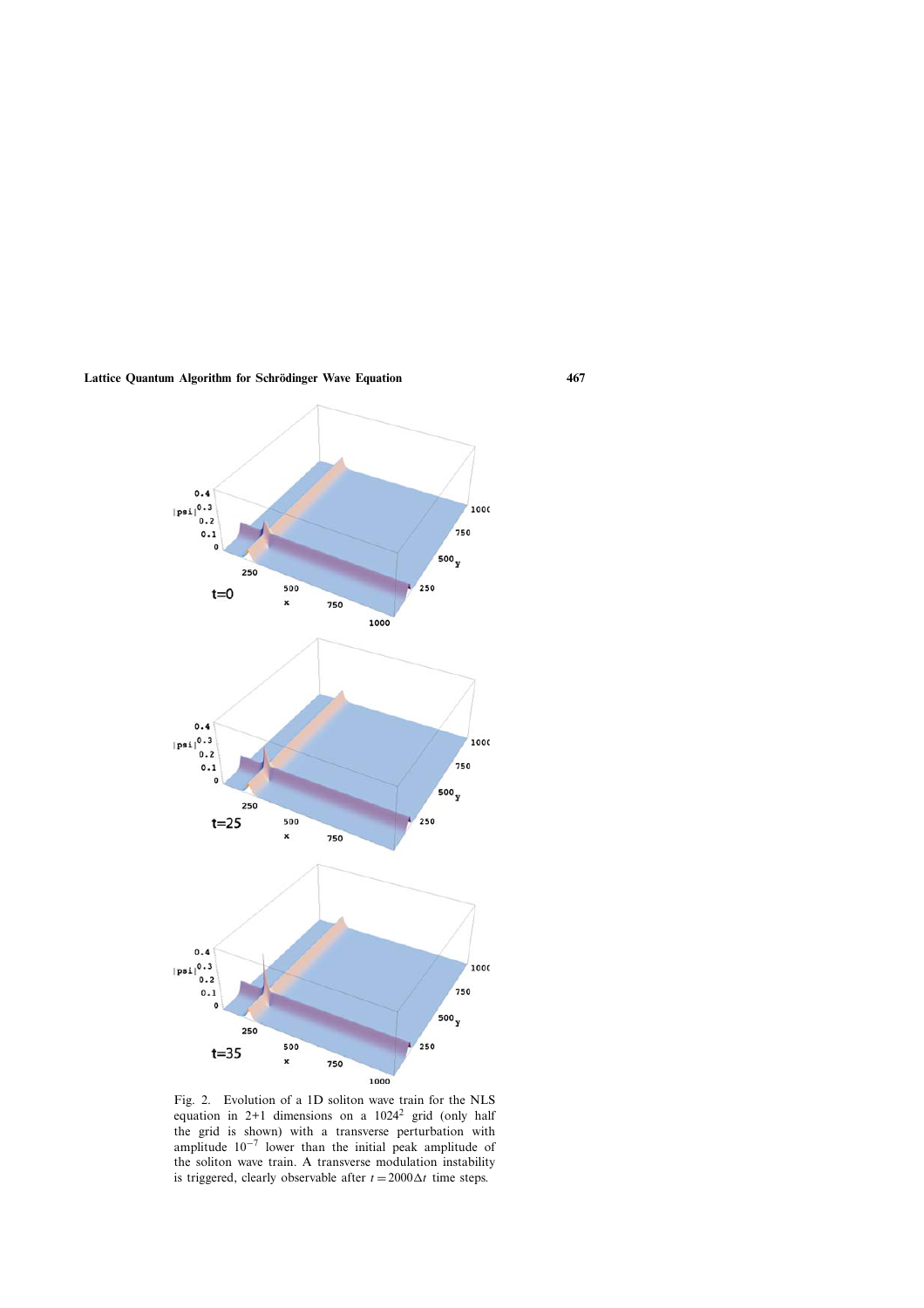

Fig. 2. Evolution of a 1D soliton wave train for the NLS equation in  $2+1$  dimensions on a  $1024^2$  grid (only half the grid is shown) with a transverse perturbation with amplitude  $10^{-7}$  lower than the initial peak amplitude of the soliton wave train. A transverse modulation instability is triggered, clearly observable after  $t = 2000\Delta t$  time steps.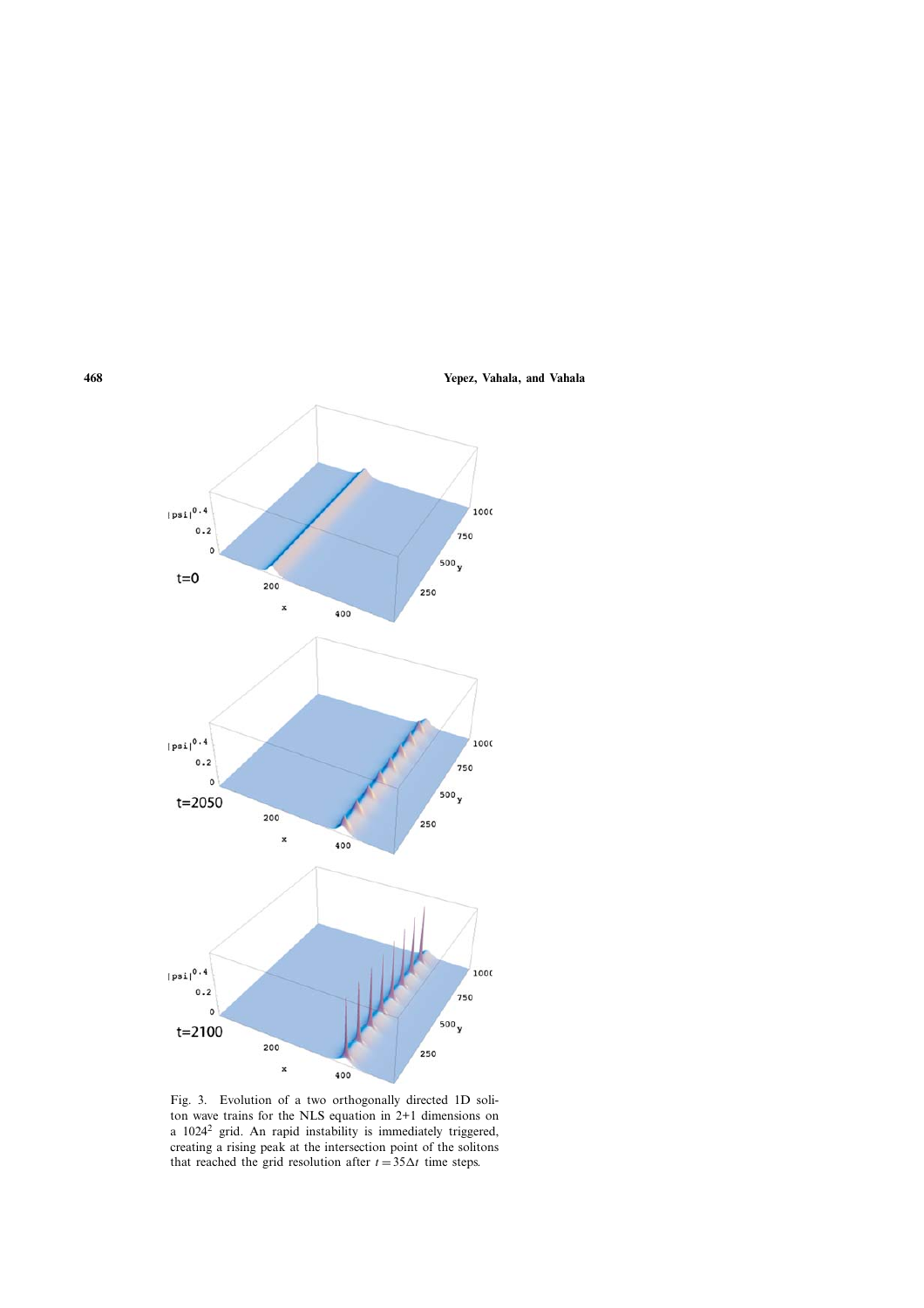

Fig. 3. Evolution of a two orthogonally directed 1D soliton wave trains for the NLS equation in 2+1 dimensions on a 1024<sup>2</sup> grid. An rapid instability is immediately triggered, creating a rising peak at the intersection point of the solitons that reached the grid resolution after  $t = 35\Delta t$  time steps.